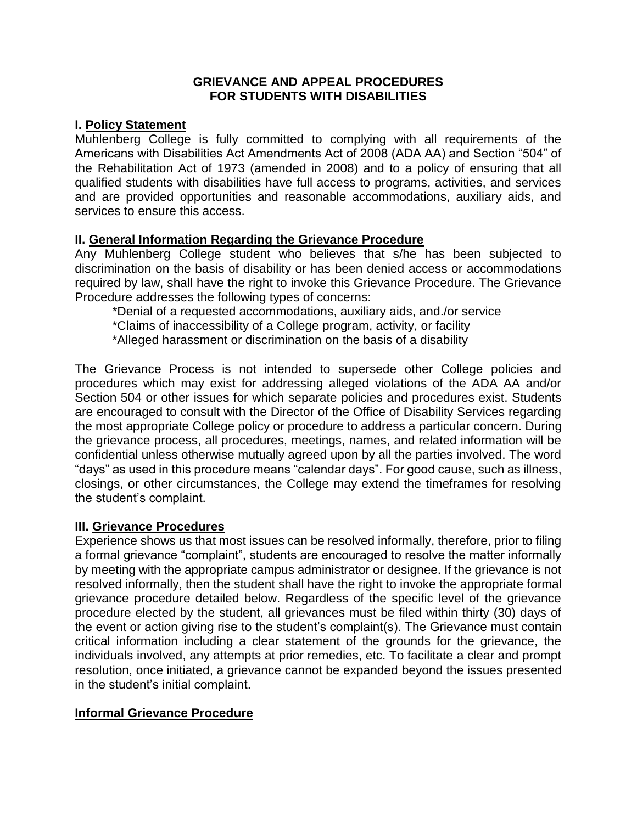#### **GRIEVANCE AND APPEAL PROCEDURES FOR STUDENTS WITH DISABILITIES**

# **I. Policy Statement**

Muhlenberg College is fully committed to complying with all requirements of the Americans with Disabilities Act Amendments Act of 2008 (ADA AA) and Section "504" of the Rehabilitation Act of 1973 (amended in 2008) and to a policy of ensuring that all qualified students with disabilities have full access to programs, activities, and services and are provided opportunities and reasonable accommodations, auxiliary aids, and services to ensure this access.

# **II. General Information Regarding the Grievance Procedure**

Any Muhlenberg College student who believes that s/he has been subjected to discrimination on the basis of disability or has been denied access or accommodations required by law, shall have the right to invoke this Grievance Procedure. The Grievance Procedure addresses the following types of concerns:

\*Denial of a requested accommodations, auxiliary aids, and./or service

\*Claims of inaccessibility of a College program, activity, or facility

\*Alleged harassment or discrimination on the basis of a disability

The Grievance Process is not intended to supersede other College policies and procedures which may exist for addressing alleged violations of the ADA AA and/or Section 504 or other issues for which separate policies and procedures exist. Students are encouraged to consult with the Director of the Office of Disability Services regarding the most appropriate College policy or procedure to address a particular concern. During the grievance process, all procedures, meetings, names, and related information will be confidential unless otherwise mutually agreed upon by all the parties involved. The word "days" as used in this procedure means "calendar days". For good cause, such as illness, closings, or other circumstances, the College may extend the timeframes for resolving the student's complaint.

# **III. Grievance Procedures**

Experience shows us that most issues can be resolved informally, therefore, prior to filing a formal grievance "complaint", students are encouraged to resolve the matter informally by meeting with the appropriate campus administrator or designee. If the grievance is not resolved informally, then the student shall have the right to invoke the appropriate formal grievance procedure detailed below. Regardless of the specific level of the grievance procedure elected by the student, all grievances must be filed within thirty (30) days of the event or action giving rise to the student's complaint(s). The Grievance must contain critical information including a clear statement of the grounds for the grievance, the individuals involved, any attempts at prior remedies, etc. To facilitate a clear and prompt resolution, once initiated, a grievance cannot be expanded beyond the issues presented in the student's initial complaint.

# **Informal Grievance Procedure**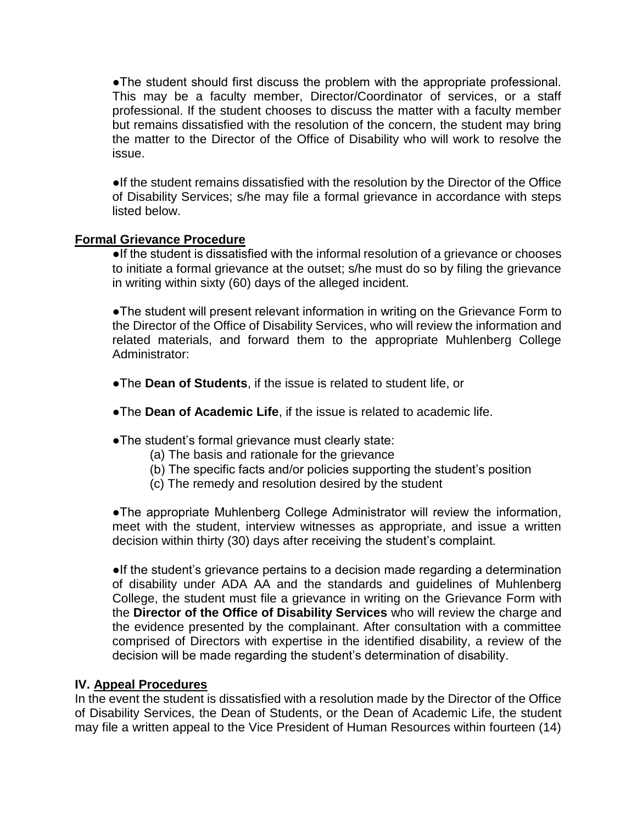●The student should first discuss the problem with the appropriate professional. This may be a faculty member, Director/Coordinator of services, or a staff professional. If the student chooses to discuss the matter with a faculty member but remains dissatisfied with the resolution of the concern, the student may bring the matter to the Director of the Office of Disability who will work to resolve the issue.

●If the student remains dissatisfied with the resolution by the Director of the Office of Disability Services; s/he may file a formal grievance in accordance with steps listed below.

#### **Formal Grievance Procedure**

●If the student is dissatisfied with the informal resolution of a grievance or chooses to initiate a formal grievance at the outset; s/he must do so by filing the grievance in writing within sixty (60) days of the alleged incident.

●The student will present relevant information in writing on the Grievance Form to the Director of the Office of Disability Services, who will review the information and related materials, and forward them to the appropriate Muhlenberg College Administrator:

- ●The **Dean of Students**, if the issue is related to student life, or
- ●The **Dean of Academic Life**, if the issue is related to academic life.
- ●The student's formal grievance must clearly state:
	- (a) The basis and rationale for the grievance
	- (b) The specific facts and/or policies supporting the student's position
	- (c) The remedy and resolution desired by the student

●The appropriate Muhlenberg College Administrator will review the information, meet with the student, interview witnesses as appropriate, and issue a written decision within thirty (30) days after receiving the student's complaint.

●If the student's grievance pertains to a decision made regarding a determination of disability under ADA AA and the standards and guidelines of Muhlenberg College, the student must file a grievance in writing on the Grievance Form with the **Director of the Office of Disability Services** who will review the charge and the evidence presented by the complainant. After consultation with a committee comprised of Directors with expertise in the identified disability, a review of the decision will be made regarding the student's determination of disability.

#### **IV. Appeal Procedures**

In the event the student is dissatisfied with a resolution made by the Director of the Office of Disability Services, the Dean of Students, or the Dean of Academic Life, the student may file a written appeal to the Vice President of Human Resources within fourteen (14)